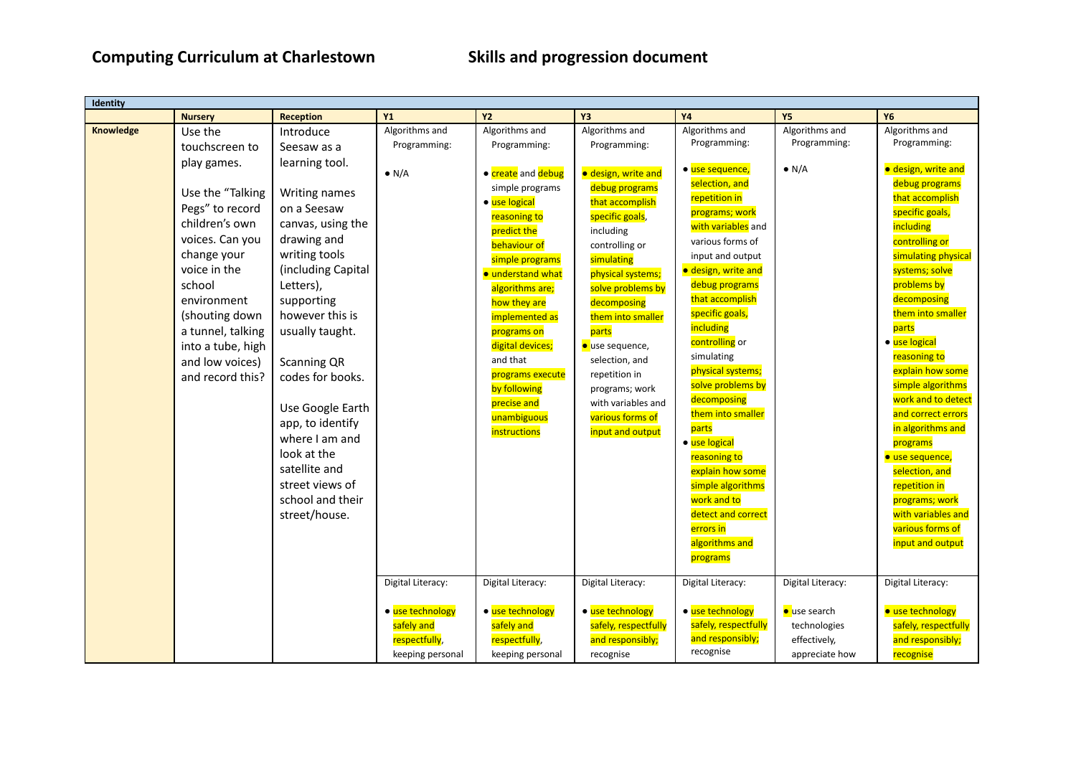| Identity  |                   |                    |                   |                    |                        |                      |                   |                      |
|-----------|-------------------|--------------------|-------------------|--------------------|------------------------|----------------------|-------------------|----------------------|
|           | <b>Nursery</b>    | <b>Reception</b>   | <b>Y1</b>         | <b>Y2</b>          | Υ3                     | <b>Y4</b>            | <b>Y5</b>         | <b>Y6</b>            |
| Knowledge | Use the           | Introduce          | Algorithms and    | Algorithms and     | Algorithms and         | Algorithms and       | Algorithms and    | Algorithms and       |
|           | touchscreen to    | Seesaw as a        | Programming:      | Programming:       | Programming:           | Programming:         | Programming:      | Programming:         |
|           | play games.       | learning tool.     |                   |                    |                        |                      |                   |                      |
|           |                   |                    | $\bullet$ N/A     | • create and debug | · design, write and    | · use sequence,      | $\bullet$ N/A     | · design, write and  |
|           | Use the "Talking  | Writing names      |                   | simple programs    | debug programs         | selection, and       |                   | debug programs       |
|           | Pegs" to record   | on a Seesaw        |                   | · use logical      | that accomplish        | repetition in        |                   | that accomplish      |
|           | children's own    |                    |                   | reasoning to       | specific goals,        | programs; work       |                   | specific goals,      |
|           |                   | canvas, using the  |                   | predict the        | including              | with variables and   |                   | including            |
|           | voices. Can you   | drawing and        |                   | behaviour of       | controlling or         | various forms of     |                   | controlling or       |
|           | change your       | writing tools      |                   | simple programs    | simulating             | input and output     |                   | simulating physical  |
|           | voice in the      | (including Capital |                   | · understand what  | physical systems;      | · design, write and  |                   | systems; solve       |
|           | school            | Letters),          |                   | algorithms are;    | solve problems by      | debug programs       |                   | problems by          |
|           | environment       | supporting         |                   | how they are       | decomposing            | that accomplish      |                   | decomposing          |
|           | (shouting down    | however this is    |                   | implemented as     | them into smaller      | specific goals,      |                   | them into smaller    |
|           | a tunnel, talking | usually taught.    |                   | programs on        | parts                  | including            |                   | parts                |
|           | into a tube, high |                    |                   | digital devices;   | <b>o</b> use sequence, | controlling or       |                   | · use logical        |
|           | and low voices)   | Scanning QR        |                   | and that           | selection, and         | simulating           |                   | reasoning to         |
|           | and record this?  | codes for books.   |                   | programs execute   | repetition in          | physical systems;    |                   | explain how some     |
|           |                   |                    |                   | by following       | programs; work         | solve problems by    |                   | simple algorithms    |
|           |                   | Use Google Earth   |                   | precise and        | with variables and     | decomposing          |                   | work and to detect   |
|           |                   | app, to identify   |                   | unambiguous        | various forms of       | them into smaller    |                   | and correct errors   |
|           |                   | where I am and     |                   | instructions       | input and output       | parts                |                   | in algorithms and    |
|           |                   | look at the        |                   |                    |                        | · use logical        |                   | programs             |
|           |                   | satellite and      |                   |                    |                        | reasoning to         |                   | · use sequence,      |
|           |                   |                    |                   |                    |                        | explain how some     |                   | selection, and       |
|           |                   | street views of    |                   |                    |                        | simple algorithms    |                   | repetition in        |
|           |                   | school and their   |                   |                    |                        | work and to          |                   | programs; work       |
|           |                   | street/house.      |                   |                    |                        | detect and correct   |                   | with variables and   |
|           |                   |                    |                   |                    |                        | errors in            |                   | various forms of     |
|           |                   |                    |                   |                    |                        | algorithms and       |                   | input and output     |
|           |                   |                    |                   |                    |                        | programs             |                   |                      |
|           |                   |                    | Digital Literacy: | Digital Literacy:  | Digital Literacy:      | Digital Literacy:    | Digital Literacy: | Digital Literacy:    |
|           |                   |                    |                   |                    |                        |                      |                   |                      |
|           |                   |                    | · use technology  | • use technology   | · use technology       | · use technology     | use search        | · use technology     |
|           |                   |                    | safely and        | safely and         | safely, respectfully   | safely, respectfully | technologies      | safely, respectfully |
|           |                   |                    | respectfully,     | respectfully,      | and responsibly;       | and responsibly;     | effectively,      | and responsibly;     |
|           |                   |                    | keeping personal  | keeping personal   | recognise              | recognise            | appreciate how    | recognise            |
|           |                   |                    |                   |                    |                        |                      |                   |                      |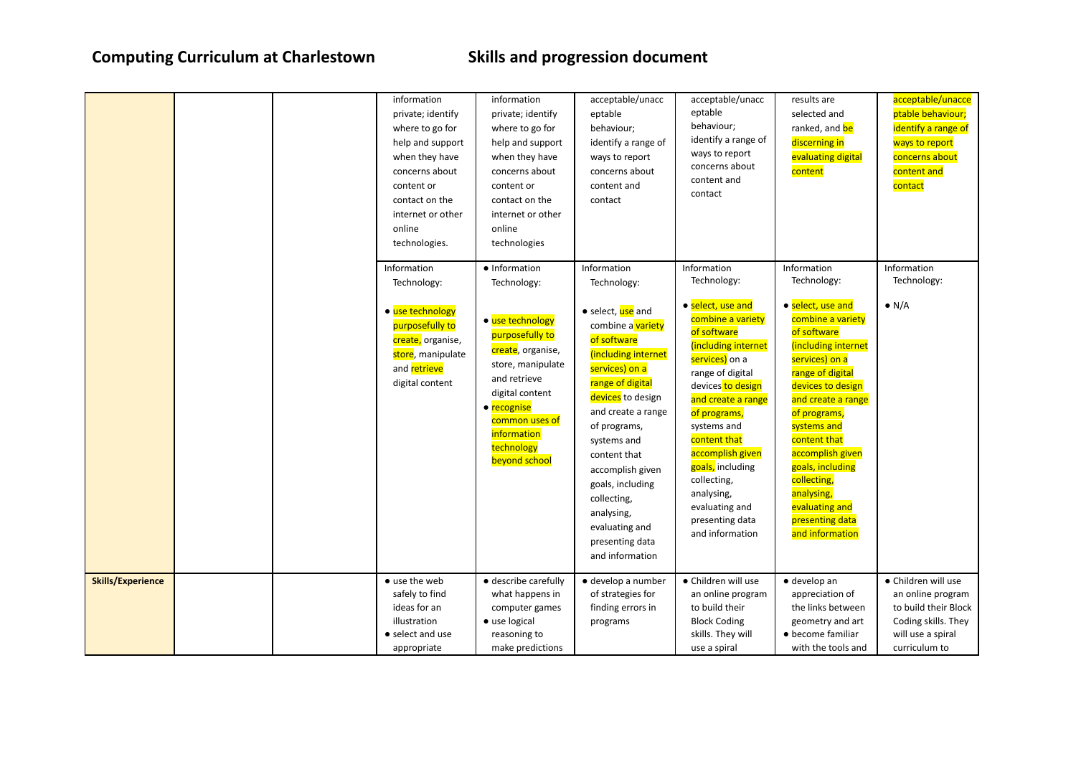|                          |  | information<br>private; identify<br>where to go for<br>help and support<br>when they have<br>concerns about<br>content or<br>contact on the<br>internet or other<br>online<br>technologies. | information<br>private; identify<br>where to go for<br>help and support<br>when they have<br>concerns about<br>content or<br>contact on the<br>internet or other<br>online<br>technologies      | acceptable/unacc<br>eptable<br>behaviour;<br>identify a range of<br>ways to report<br>concerns about<br>content and<br>contact                                                                                                                                                                                                            | acceptable/unacc<br>eptable<br>behaviour;<br>identify a range of<br>ways to report<br>concerns about<br>content and<br>contact                                                                                                                                                                                                            | results are<br>selected and<br>ranked, and be<br>discerning in<br>evaluating digital<br>content                                                                                                                                                                                                                                           | acceptable/unacce<br>ptable behaviour;<br>identify a range of<br>ways to report<br>concerns about<br>content and<br>contact |
|--------------------------|--|---------------------------------------------------------------------------------------------------------------------------------------------------------------------------------------------|-------------------------------------------------------------------------------------------------------------------------------------------------------------------------------------------------|-------------------------------------------------------------------------------------------------------------------------------------------------------------------------------------------------------------------------------------------------------------------------------------------------------------------------------------------|-------------------------------------------------------------------------------------------------------------------------------------------------------------------------------------------------------------------------------------------------------------------------------------------------------------------------------------------|-------------------------------------------------------------------------------------------------------------------------------------------------------------------------------------------------------------------------------------------------------------------------------------------------------------------------------------------|-----------------------------------------------------------------------------------------------------------------------------|
|                          |  | Information<br>Technology:                                                                                                                                                                  | • Information<br>Technology:                                                                                                                                                                    | Information<br>Technology:                                                                                                                                                                                                                                                                                                                | Information<br>Technology:                                                                                                                                                                                                                                                                                                                | Information<br>Technology:                                                                                                                                                                                                                                                                                                                | Information<br>Technology:                                                                                                  |
|                          |  | • use technology<br>purposefully to<br>create, organise,<br>store, manipulate<br>and retrieve<br>digital content                                                                            | • use technology<br>purposefully to<br>create, organise,<br>store, manipulate<br>and retrieve<br>digital content<br>• recognise<br>common uses of<br>information<br>technology<br>beyond school | • select, use and<br>combine a variety<br>of software<br>(including internet<br>services) on a<br>range of digital<br>devices to design<br>and create a range<br>of programs,<br>systems and<br>content that<br>accomplish given<br>goals, including<br>collecting,<br>analysing,<br>evaluating and<br>presenting data<br>and information | • select, use and<br>combine a variety<br>of software<br>(including internet<br>services) on a<br>range of digital<br>devices to design<br>and create a range<br>of programs,<br>systems and<br>content that<br>accomplish given<br>goals, including<br>collecting,<br>analysing,<br>evaluating and<br>presenting data<br>and information | • select, use and<br>combine a variety<br>of software<br>(including internet<br>services) on a<br>range of digital<br>devices to design<br>and create a range<br>of programs,<br>systems and<br>content that<br>accomplish given<br>goals, including<br>collecting,<br>analysing,<br>evaluating and<br>presenting data<br>and information | $\bullet$ N/A                                                                                                               |
| <b>Skills/Experience</b> |  | • use the web<br>safely to find                                                                                                                                                             | · describe carefully<br>what happens in                                                                                                                                                         | · develop a number<br>of strategies for                                                                                                                                                                                                                                                                                                   | · Children will use<br>an online program                                                                                                                                                                                                                                                                                                  | $\bullet$ develop an<br>appreciation of                                                                                                                                                                                                                                                                                                   | · Children will use<br>an online program                                                                                    |
|                          |  | ideas for an<br>illustration                                                                                                                                                                | computer games<br>• use logical                                                                                                                                                                 | finding errors in<br>programs                                                                                                                                                                                                                                                                                                             | to build their<br><b>Block Coding</b>                                                                                                                                                                                                                                                                                                     | the links between<br>geometry and art                                                                                                                                                                                                                                                                                                     | to build their Block<br>Coding skills. They                                                                                 |
|                          |  | • select and use<br>appropriate                                                                                                                                                             | reasoning to<br>make predictions                                                                                                                                                                |                                                                                                                                                                                                                                                                                                                                           | skills. They will<br>use a spiral                                                                                                                                                                                                                                                                                                         | • become familiar<br>with the tools and                                                                                                                                                                                                                                                                                                   | will use a spiral<br>curriculum to                                                                                          |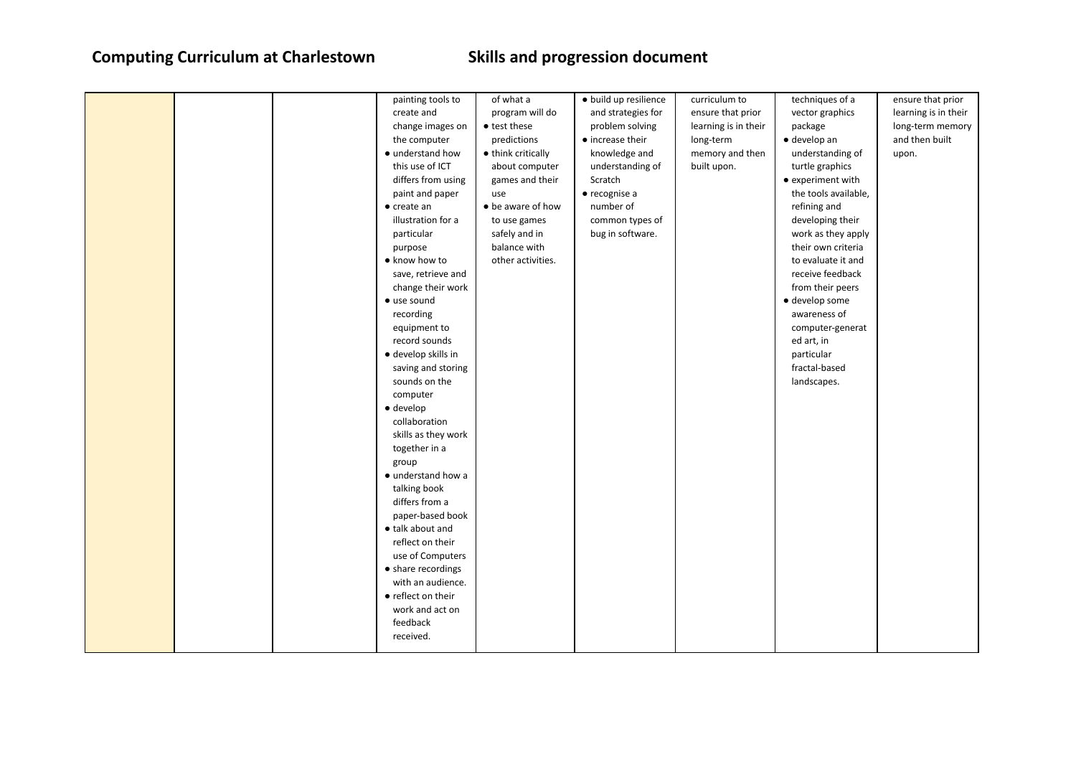|  | painting tools to   | of what a          | · build up resilience    | curriculum to        | techniques of a      | ensure that prior    |
|--|---------------------|--------------------|--------------------------|----------------------|----------------------|----------------------|
|  | create and          | program will do    | and strategies for       | ensure that prior    | vector graphics      | learning is in their |
|  | change images on    | • test these       | problem solving          | learning is in their | package              | long-term memory     |
|  | the computer        | predictions        | $\bullet$ increase their | long-term            | $\bullet$ develop an | and then built       |
|  | • understand how    | • think critically | knowledge and            | memory and then      | understanding of     | upon.                |
|  | this use of ICT     | about computer     | understanding of         | built upon.          | turtle graphics      |                      |
|  | differs from using  | games and their    | Scratch                  |                      | • experiment with    |                      |
|  | paint and paper     | use                | $\bullet$ recognise a    |                      | the tools available, |                      |
|  | $\bullet$ create an | • be aware of how  | number of                |                      | refining and         |                      |
|  | illustration for a  | to use games       | common types of          |                      | developing their     |                      |
|  | particular          | safely and in      | bug in software.         |                      | work as they apply   |                      |
|  | purpose             | balance with       |                          |                      | their own criteria   |                      |
|  | • know how to       | other activities.  |                          |                      | to evaluate it and   |                      |
|  | save, retrieve and  |                    |                          |                      | receive feedback     |                      |
|  | change their work   |                    |                          |                      | from their peers     |                      |
|  | · use sound         |                    |                          |                      | · develop some       |                      |
|  | recording           |                    |                          |                      | awareness of         |                      |
|  | equipment to        |                    |                          |                      | computer-generat     |                      |
|  | record sounds       |                    |                          |                      | ed art, in           |                      |
|  | · develop skills in |                    |                          |                      | particular           |                      |
|  | saving and storing  |                    |                          |                      | fractal-based        |                      |
|  | sounds on the       |                    |                          |                      | landscapes.          |                      |
|  | computer            |                    |                          |                      |                      |                      |
|  | $\bullet$ develop   |                    |                          |                      |                      |                      |
|  | collaboration       |                    |                          |                      |                      |                      |
|  | skills as they work |                    |                          |                      |                      |                      |
|  | together in a       |                    |                          |                      |                      |                      |
|  | group               |                    |                          |                      |                      |                      |
|  | · understand how a  |                    |                          |                      |                      |                      |
|  | talking book        |                    |                          |                      |                      |                      |
|  | differs from a      |                    |                          |                      |                      |                      |
|  | paper-based book    |                    |                          |                      |                      |                      |
|  | • talk about and    |                    |                          |                      |                      |                      |
|  | reflect on their    |                    |                          |                      |                      |                      |
|  | use of Computers    |                    |                          |                      |                      |                      |
|  | • share recordings  |                    |                          |                      |                      |                      |
|  | with an audience.   |                    |                          |                      |                      |                      |
|  | • reflect on their  |                    |                          |                      |                      |                      |
|  | work and act on     |                    |                          |                      |                      |                      |
|  | feedback            |                    |                          |                      |                      |                      |
|  | received.           |                    |                          |                      |                      |                      |
|  |                     |                    |                          |                      |                      |                      |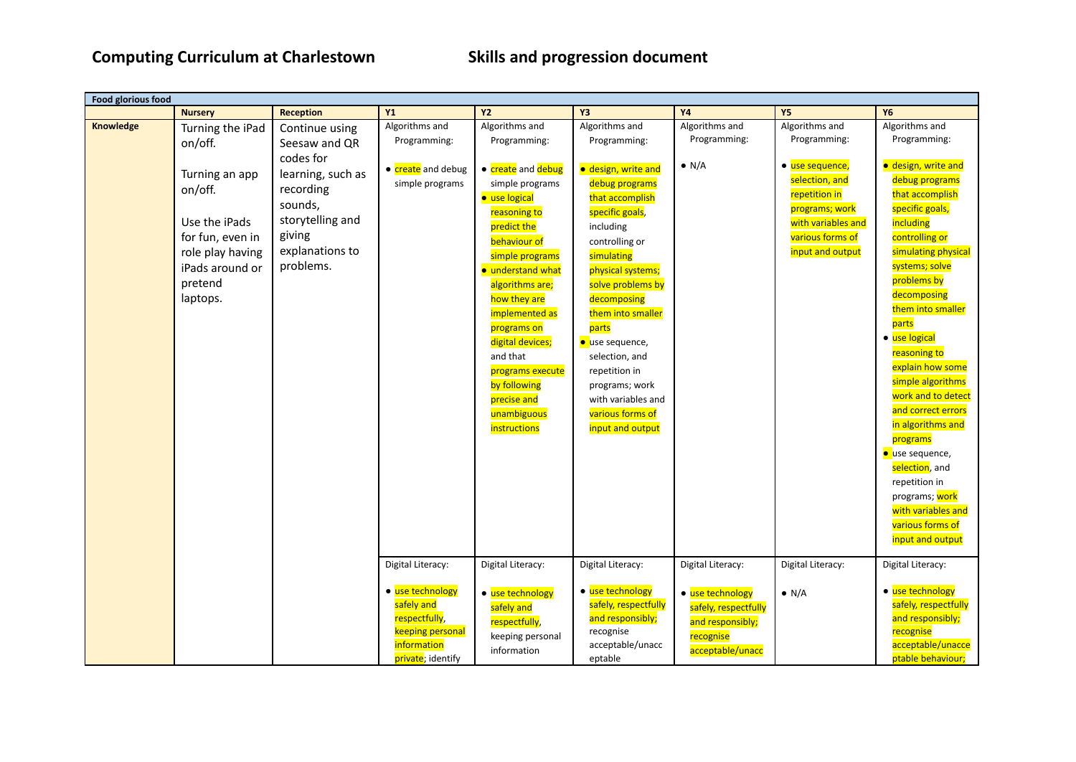| <b>Food glorious food</b> |                  |                   |                    |                          |                      |                      |                    |                      |
|---------------------------|------------------|-------------------|--------------------|--------------------------|----------------------|----------------------|--------------------|----------------------|
|                           | <b>Nursery</b>   | <b>Reception</b>  | <b>Y1</b>          | <b>Y2</b>                | Υ3                   | <b>Y4</b>            | <b>Y5</b>          | <b>Y6</b>            |
| Knowledge                 | Turning the iPad | Continue using    | Algorithms and     | Algorithms and           | Algorithms and       | Algorithms and       | Algorithms and     | Algorithms and       |
|                           | on/off.          | Seesaw and QR     | Programming:       | Programming:             | Programming:         | Programming:         | Programming:       | Programming:         |
|                           |                  | codes for         |                    |                          |                      |                      |                    |                      |
|                           | Turning an app   | learning, such as | • create and debug | • create and debug       | · design, write and  | $\bullet$ N/A        | · use sequence,    | · design, write and  |
|                           | on/off.          | recording         | simple programs    | simple programs          | debug programs       |                      | selection, and     | debug programs       |
|                           |                  | sounds,           |                    | · use logical            | that accomplish      |                      | repetition in      | that accomplish      |
|                           |                  |                   |                    | reasoning to             | specific goals,      |                      | programs; work     | specific goals,      |
|                           | Use the iPads    | storytelling and  |                    | predict the              | including            |                      | with variables and | including            |
|                           | for fun, even in | giving            |                    | behaviour of             | controlling or       |                      | various forms of   | controlling or       |
|                           | role play having | explanations to   |                    | simple programs          | simulating           |                      | input and output   | simulating physical  |
|                           | iPads around or  | problems.         |                    | <b>•</b> understand what | physical systems;    |                      |                    | systems; solve       |
|                           | pretend          |                   |                    | algorithms are;          | solve problems by    |                      |                    | problems by          |
|                           | laptops.         |                   |                    | how they are             | decomposing          |                      |                    | decomposing          |
|                           |                  |                   |                    | implemented as           | them into smaller    |                      |                    | them into smaller    |
|                           |                  |                   |                    | programs on              | parts                |                      |                    | parts                |
|                           |                  |                   |                    | digital devices;         | ● use sequence,      |                      |                    | · use logical        |
|                           |                  |                   |                    | and that                 | selection, and       |                      |                    | reasoning to         |
|                           |                  |                   |                    | programs execute         | repetition in        |                      |                    | explain how some     |
|                           |                  |                   |                    | by following             | programs; work       |                      |                    | simple algorithms    |
|                           |                  |                   |                    | precise and              | with variables and   |                      |                    | work and to detect   |
|                           |                  |                   |                    | unambiguous              | various forms of     |                      |                    | and correct errors   |
|                           |                  |                   |                    | <i>instructions</i>      | input and output     |                      |                    | in algorithms and    |
|                           |                  |                   |                    |                          |                      |                      |                    | programs             |
|                           |                  |                   |                    |                          |                      |                      |                    | <b>use sequence,</b> |
|                           |                  |                   |                    |                          |                      |                      |                    | selection, and       |
|                           |                  |                   |                    |                          |                      |                      |                    | repetition in        |
|                           |                  |                   |                    |                          |                      |                      |                    | programs; work       |
|                           |                  |                   |                    |                          |                      |                      |                    | with variables and   |
|                           |                  |                   |                    |                          |                      |                      |                    | various forms of     |
|                           |                  |                   |                    |                          |                      |                      |                    | input and output     |
|                           |                  |                   |                    |                          |                      |                      |                    |                      |
|                           |                  |                   | Digital Literacy:  | Digital Literacy:        | Digital Literacy:    | Digital Literacy:    | Digital Literacy:  | Digital Literacy:    |
|                           |                  |                   | • use technology   | • use technology         | • use technology     | • use technology     |                    | • use technology     |
|                           |                  |                   | safely and         | safely and               | safely, respectfully |                      | $\bullet$ N/A      | safely, respectfully |
|                           |                  |                   | respectfully,      |                          | and responsibly;     | safely, respectfully |                    | and responsibly;     |
|                           |                  |                   | keeping personal   | respectfully,            | recognise            | and responsibly;     |                    | recognise            |
|                           |                  |                   | information        | keeping personal         | acceptable/unacc     | recognise            |                    | acceptable/unacce    |
|                           |                  |                   | private; identify  | information              | eptable              | acceptable/unacc     |                    | ptable behaviour;    |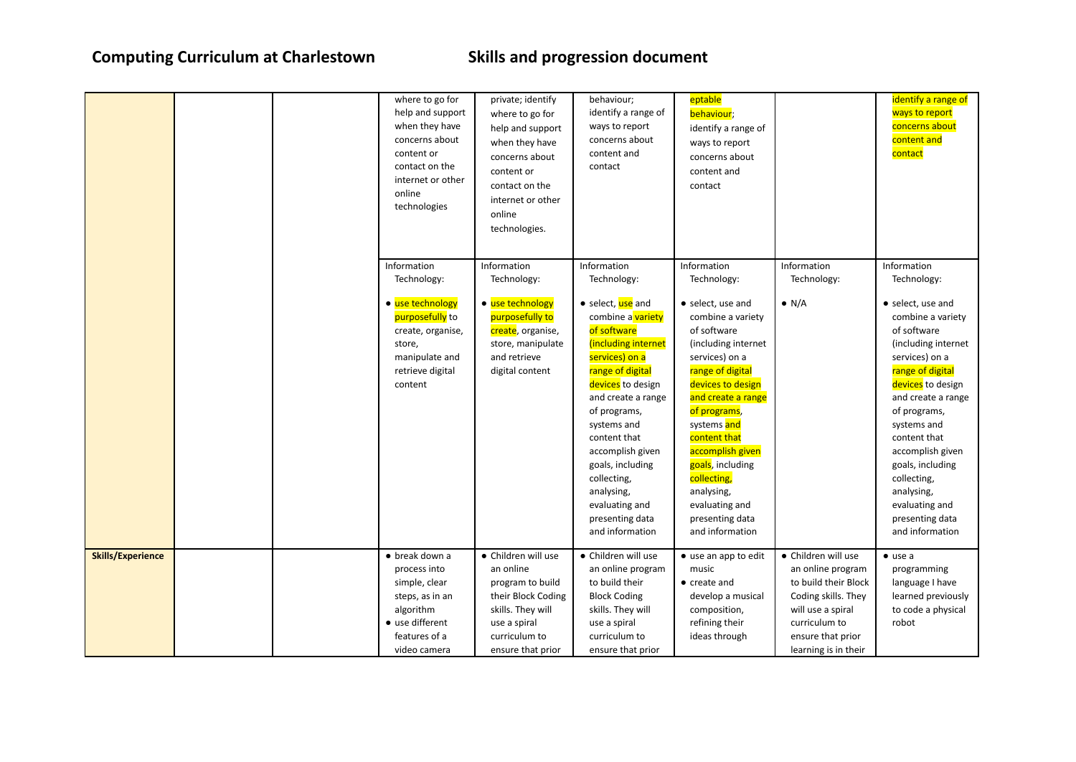|                          | content or<br>online<br>technologies  | where to go for<br>private; identify<br>help and support<br>where to go for<br>when they have<br>help and support<br>concerns about<br>when they have<br>concerns about<br>contact on the<br>content or<br>internet or other<br>contact on the<br>internet or other<br>online<br>technologies. | behaviour;<br>identify a range of<br>ways to report<br>concerns about<br>content and<br>contact                                                                                                                                                                                                                                           | eptable<br>behaviour;<br>identify a range of<br>ways to report<br>concerns about<br>content and<br>contact                                                                                                                                                                                                                                |                                             | identify a range of<br>ways to report<br>concerns about<br>content and<br>contact                                                                                                                                                                                                                                                         |
|--------------------------|---------------------------------------|------------------------------------------------------------------------------------------------------------------------------------------------------------------------------------------------------------------------------------------------------------------------------------------------|-------------------------------------------------------------------------------------------------------------------------------------------------------------------------------------------------------------------------------------------------------------------------------------------------------------------------------------------|-------------------------------------------------------------------------------------------------------------------------------------------------------------------------------------------------------------------------------------------------------------------------------------------------------------------------------------------|---------------------------------------------|-------------------------------------------------------------------------------------------------------------------------------------------------------------------------------------------------------------------------------------------------------------------------------------------------------------------------------------------|
|                          | Information<br>Technology:            | Information<br>Technology:                                                                                                                                                                                                                                                                     | Information<br>Technology:                                                                                                                                                                                                                                                                                                                | Information<br>Technology:                                                                                                                                                                                                                                                                                                                | Information<br>Technology:                  | Information<br>Technology:                                                                                                                                                                                                                                                                                                                |
|                          | • use technology<br>store,<br>content | • use technology<br>purposefully to<br>purposefully to<br>create, organise,<br>create, organise,<br>store, manipulate<br>manipulate and<br>and retrieve<br>retrieve digital<br>digital content                                                                                                 | • select, use and<br>combine a variety<br>of software<br>(including internet<br>services) on a<br>range of digital<br>devices to design<br>and create a range<br>of programs,<br>systems and<br>content that<br>accomplish given<br>goals, including<br>collecting,<br>analysing,<br>evaluating and<br>presenting data<br>and information | • select, use and<br>combine a variety<br>of software<br>(including internet<br>services) on a<br>range of digital<br>devices to design<br>and create a range<br>of programs,<br>systems and<br>content that<br>accomplish given<br>goals, including<br>collecting,<br>analysing,<br>evaluating and<br>presenting data<br>and information | $\bullet$ N/A                               | • select, use and<br>combine a variety<br>of software<br>(including internet<br>services) on a<br>range of digital<br>devices to design<br>and create a range<br>of programs,<br>systems and<br>content that<br>accomplish given<br>goals, including<br>collecting,<br>analysing,<br>evaluating and<br>presenting data<br>and information |
| <b>Skills/Experience</b> | • break down a<br>process into        | • Children will use<br>an online                                                                                                                                                                                                                                                               | • Children will use<br>an online program                                                                                                                                                                                                                                                                                                  | • use an app to edit<br>music                                                                                                                                                                                                                                                                                                             | • Children will use<br>an online program    | $\bullet$ use a<br>programming                                                                                                                                                                                                                                                                                                            |
|                          | simple, clear<br>steps, as in an      | program to build<br>their Block Coding                                                                                                                                                                                                                                                         | to build their<br><b>Block Coding</b>                                                                                                                                                                                                                                                                                                     | • create and<br>develop a musical                                                                                                                                                                                                                                                                                                         | to build their Block<br>Coding skills. They | language I have<br>learned previously                                                                                                                                                                                                                                                                                                     |
|                          | algorithm                             | skills. They will                                                                                                                                                                                                                                                                              | skills. They will                                                                                                                                                                                                                                                                                                                         | composition,                                                                                                                                                                                                                                                                                                                              | will use a spiral                           | to code a physical                                                                                                                                                                                                                                                                                                                        |
|                          | • use different                       | use a spiral                                                                                                                                                                                                                                                                                   | use a spiral                                                                                                                                                                                                                                                                                                                              | refining their                                                                                                                                                                                                                                                                                                                            | curriculum to                               | robot                                                                                                                                                                                                                                                                                                                                     |
|                          | features of a                         | curriculum to                                                                                                                                                                                                                                                                                  | curriculum to                                                                                                                                                                                                                                                                                                                             | ideas through                                                                                                                                                                                                                                                                                                                             | ensure that prior                           |                                                                                                                                                                                                                                                                                                                                           |
|                          | video camera                          | ensure that prior                                                                                                                                                                                                                                                                              | ensure that prior                                                                                                                                                                                                                                                                                                                         |                                                                                                                                                                                                                                                                                                                                           | learning is in their                        |                                                                                                                                                                                                                                                                                                                                           |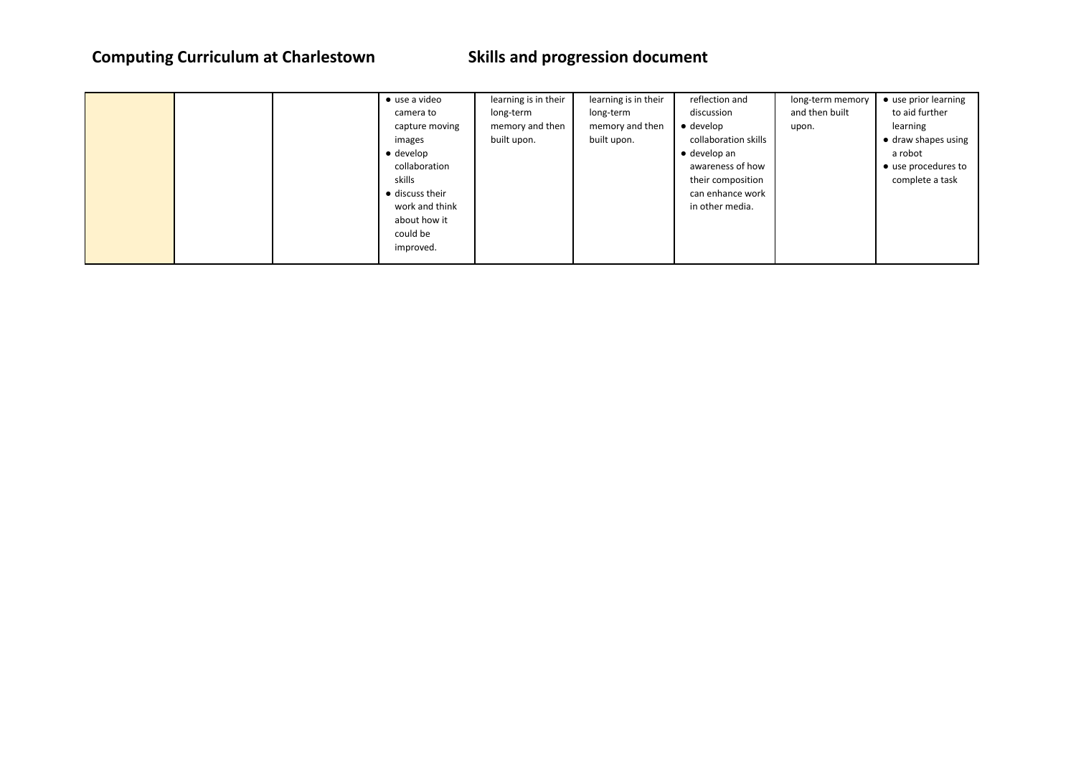|  | $\bullet$ use a video   | learning is in their | learning is in their | reflection and       | long-term memory | • use prior learning        |
|--|-------------------------|----------------------|----------------------|----------------------|------------------|-----------------------------|
|  | camera to               | long-term            | long-term            | discussion           | and then built   | to aid further              |
|  | capture moving          | memory and then      | memory and then      | $\bullet$ develop    | upon.            | learning                    |
|  | images                  | built upon.          | built upon.          | collaboration skills |                  | $\bullet$ draw shapes using |
|  | $\bullet$ develop       |                      |                      | $\bullet$ develop an |                  | a robot                     |
|  | collaboration           |                      |                      | awareness of how     |                  | • use procedures to         |
|  | skills                  |                      |                      | their composition    |                  | complete a task             |
|  | $\bullet$ discuss their |                      |                      | can enhance work     |                  |                             |
|  | work and think          |                      |                      | in other media.      |                  |                             |
|  | about how it            |                      |                      |                      |                  |                             |
|  | could be                |                      |                      |                      |                  |                             |
|  | improved.               |                      |                      |                      |                  |                             |
|  |                         |                      |                      |                      |                  |                             |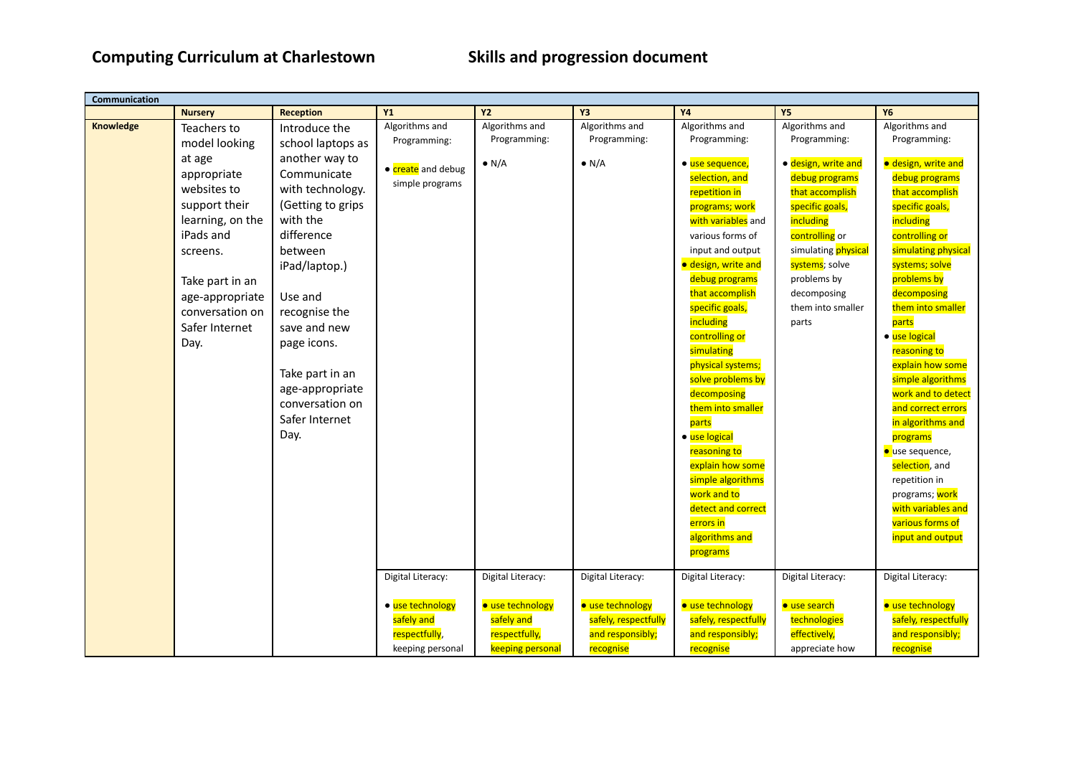| Communication |                  |                   |                    |                   |                      |                                  |                     |                               |
|---------------|------------------|-------------------|--------------------|-------------------|----------------------|----------------------------------|---------------------|-------------------------------|
|               | <b>Nursery</b>   | <b>Reception</b>  | <b>Y1</b>          | <b>Y2</b>         | <b>Y3</b>            | <b>Y4</b>                        | <b>Y5</b>           | <b>Y6</b>                     |
| Knowledge     | Teachers to      | Introduce the     | Algorithms and     | Algorithms and    | Algorithms and       | Algorithms and                   | Algorithms and      | Algorithms and                |
|               | model looking    | school laptops as | Programming:       | Programming:      | Programming:         | Programming:                     | Programming:        | Programming:                  |
|               | at age           | another way to    |                    | $\bullet$ N/A     | $\bullet$ N/A        | • use sequence,                  | · design, write and | · design, write and           |
|               | appropriate      | Communicate       | • create and debug |                   |                      | selection, and                   | debug programs      | debug programs                |
|               | websites to      | with technology.  | simple programs    |                   |                      | repetition in                    | that accomplish     | that accomplish               |
|               | support their    | (Getting to grips |                    |                   |                      | programs; work                   | specific goals,     | specific goals,               |
|               | learning, on the | with the          |                    |                   |                      | with variables and               | including           | including                     |
|               | iPads and        | difference        |                    |                   |                      | various forms of                 | controlling or      | controlling or                |
|               | screens.         | between           |                    |                   |                      | input and output                 | simulating physical | simulating physical           |
|               |                  | iPad/laptop.)     |                    |                   |                      | · design, write and              | systems; solve      | systems; solve                |
|               | Take part in an  |                   |                    |                   |                      | debug programs                   | problems by         | problems by                   |
|               | age-appropriate  | Use and           |                    |                   |                      | that accomplish                  | decomposing         | decomposing                   |
|               | conversation on  | recognise the     |                    |                   |                      | specific goals,                  | them into smaller   | them into smaller             |
|               | Safer Internet   | save and new      |                    |                   |                      | including                        | parts               | parts                         |
|               | Day.             | page icons.       |                    |                   |                      | controlling or                   |                     | • use logical                 |
|               |                  |                   |                    |                   |                      | simulating                       |                     | reasoning to                  |
|               |                  | Take part in an   |                    |                   |                      | physical systems;                |                     | explain how some              |
|               |                  | age-appropriate   |                    |                   |                      | solve problems by                |                     | simple algorithms             |
|               |                  | conversation on   |                    |                   |                      | decomposing<br>them into smaller |                     | work and to detect            |
|               |                  | Safer Internet    |                    |                   |                      | parts                            |                     | and correct errors            |
|               |                  | Day.              |                    |                   |                      | · use logical                    |                     | in algorithms and<br>programs |
|               |                  |                   |                    |                   |                      | reasoning to                     |                     | ● use sequence,               |
|               |                  |                   |                    |                   |                      | explain how some                 |                     | selection, and                |
|               |                  |                   |                    |                   |                      | simple algorithms                |                     | repetition in                 |
|               |                  |                   |                    |                   |                      | work and to                      |                     | programs; work                |
|               |                  |                   |                    |                   |                      | detect and correct               |                     | with variables and            |
|               |                  |                   |                    |                   |                      | errors in                        |                     | various forms of              |
|               |                  |                   |                    |                   |                      | algorithms and                   |                     | input and output              |
|               |                  |                   |                    |                   |                      | programs                         |                     |                               |
|               |                  |                   |                    |                   |                      |                                  |                     |                               |
|               |                  |                   | Digital Literacy:  | Digital Literacy: | Digital Literacy:    | Digital Literacy:                | Digital Literacy:   | Digital Literacy:             |
|               |                  |                   | • use technology   | · use technology  | · use technology     | · use technology                 | · use search        | · use technology              |
|               |                  |                   | safely and         | safely and        | safely, respectfully | safely, respectfully             | technologies        | safely, respectfully          |
|               |                  |                   | respectfully,      | respectfully,     | and responsibly;     | and responsibly;                 | effectively,        | and responsibly;              |
|               |                  |                   | keeping personal   | keeping personal  | recognise            | recognise                        | appreciate how      | recognise                     |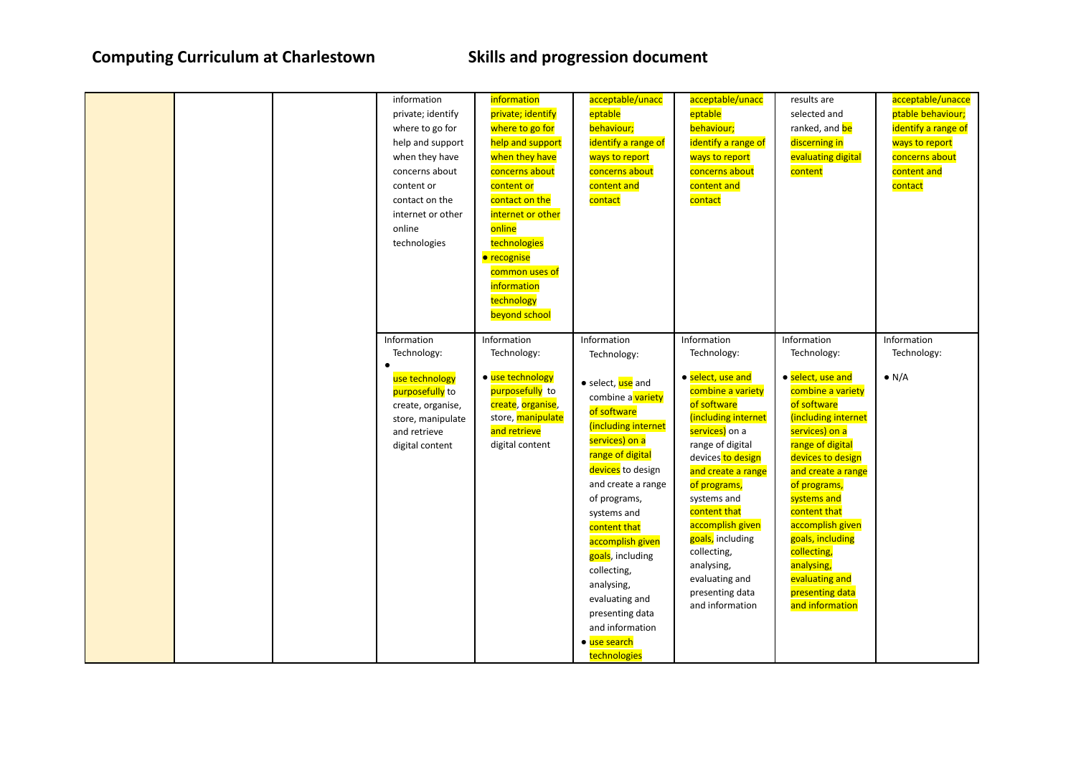|  | information<br>private; identify<br>where to go for<br>help and support<br>when they have<br>concerns about<br>content or<br>contact on the<br>internet or other<br>online<br>technologies | information<br>private; identify<br>where to go for<br>help and support<br>when they have<br>concerns about<br>content or<br>contact on the<br>internet or other<br>online<br>technologies<br>· recognise<br>common uses of<br>information<br>technology<br>beyond school | acceptable/unacc<br>eptable<br>behaviour;<br>identify a range of<br>ways to report<br>concerns about<br>content and<br>contact                                                                                                                                                                                                                                                                          | acceptable/unacc<br>eptable<br>behaviour;<br>identify a range of<br>ways to report<br>concerns about<br>content and<br>contact                                                                                                                                                                                                                                          | results are<br>selected and<br>ranked, and be<br>discerning in<br>evaluating digital<br>content                                                                                                                                                                                                                                                                         | acceptable/unacce<br>ptable behaviour;<br>identify a range of<br>ways to report<br>concerns about<br>content and<br>contact |
|--|--------------------------------------------------------------------------------------------------------------------------------------------------------------------------------------------|---------------------------------------------------------------------------------------------------------------------------------------------------------------------------------------------------------------------------------------------------------------------------|---------------------------------------------------------------------------------------------------------------------------------------------------------------------------------------------------------------------------------------------------------------------------------------------------------------------------------------------------------------------------------------------------------|-------------------------------------------------------------------------------------------------------------------------------------------------------------------------------------------------------------------------------------------------------------------------------------------------------------------------------------------------------------------------|-------------------------------------------------------------------------------------------------------------------------------------------------------------------------------------------------------------------------------------------------------------------------------------------------------------------------------------------------------------------------|-----------------------------------------------------------------------------------------------------------------------------|
|  | Information<br>Technology:<br>use technology<br>purposefully to<br>create, organise,<br>store, manipulate<br>and retrieve<br>digital content                                               | Information<br>Technology:<br>• use technology<br>purposefully to<br>create, organise,<br>store, manipulate<br>and retrieve<br>digital content                                                                                                                            | Information<br>Technology:<br>• select, use and<br>combine a variety<br>of software<br>(including internet<br>services) on a<br>range of digital<br>devices to design<br>and create a range<br>of programs,<br>systems and<br>content that<br>accomplish given<br>goals, including<br>collecting,<br>analysing,<br>evaluating and<br>presenting data<br>and information<br>• use search<br>technologies | Information<br>Technology:<br>• select, use and<br>combine a variety<br>of software<br>(including internet<br>services) on a<br>range of digital<br>devices to design<br>and create a range<br>of programs,<br>systems and<br>content that<br>accomplish given<br>goals, including<br>collecting,<br>analysing,<br>evaluating and<br>presenting data<br>and information | Information<br>Technology:<br>• select, use and<br>combine a variety<br>of software<br>(including internet<br>services) on a<br>range of digital<br>devices to design<br>and create a range<br>of programs,<br>systems and<br>content that<br>accomplish given<br>goals, including<br>collecting,<br>analysing,<br>evaluating and<br>presenting data<br>and information | Information<br>Technology:<br>$\bullet$ N/A                                                                                 |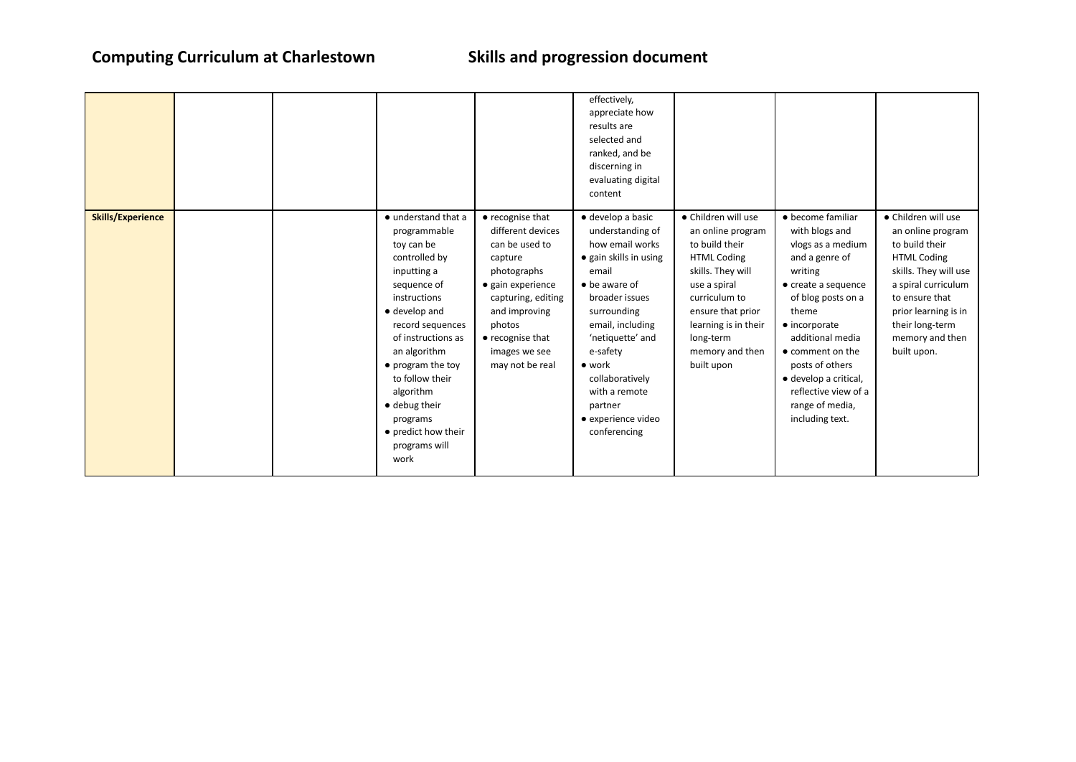|                          |  |                                                                                                                                                                                                                                                                                                                               |                                                                                                                                                                                                                         | effectively,<br>appreciate how<br>results are<br>selected and<br>ranked, and be<br>discerning in<br>evaluating digital<br>content                                                                                                                                                                                |                                                                                                                                                                                                                                   |                                                                                                                                                                                                                                                                                                                                |                                                                                                                                                                                                                                 |
|--------------------------|--|-------------------------------------------------------------------------------------------------------------------------------------------------------------------------------------------------------------------------------------------------------------------------------------------------------------------------------|-------------------------------------------------------------------------------------------------------------------------------------------------------------------------------------------------------------------------|------------------------------------------------------------------------------------------------------------------------------------------------------------------------------------------------------------------------------------------------------------------------------------------------------------------|-----------------------------------------------------------------------------------------------------------------------------------------------------------------------------------------------------------------------------------|--------------------------------------------------------------------------------------------------------------------------------------------------------------------------------------------------------------------------------------------------------------------------------------------------------------------------------|---------------------------------------------------------------------------------------------------------------------------------------------------------------------------------------------------------------------------------|
| <b>Skills/Experience</b> |  | • understand that a<br>programmable<br>toy can be<br>controlled by<br>inputting a<br>sequence of<br>instructions<br>• develop and<br>record sequences<br>of instructions as<br>an algorithm<br>• program the toy<br>to follow their<br>algorithm<br>· debug their<br>programs<br>• predict how their<br>programs will<br>work | • recognise that<br>different devices<br>can be used to<br>capture<br>photographs<br>• gain experience<br>capturing, editing<br>and improving<br>photos<br>$\bullet$ recognise that<br>images we see<br>may not be real | · develop a basic<br>understanding of<br>how email works<br>• gain skills in using<br>email<br>$\bullet$ be aware of<br>broader issues<br>surrounding<br>email, including<br>'netiquette' and<br>e-safety<br>$\bullet$ work<br>collaboratively<br>with a remote<br>partner<br>· experience video<br>conferencing | • Children will use<br>an online program<br>to build their<br><b>HTML Coding</b><br>skills. They will<br>use a spiral<br>curriculum to<br>ensure that prior<br>learning is in their<br>long-term<br>memory and then<br>built upon | • become familiar<br>with blogs and<br>vlogs as a medium<br>and a genre of<br>writing<br>$\bullet$ create a sequence<br>of blog posts on a<br>theme<br>$\bullet$ incorporate<br>additional media<br>• comment on the<br>posts of others<br>· develop a critical,<br>reflective view of a<br>range of media,<br>including text. | • Children will use<br>an online program<br>to build their<br><b>HTML Coding</b><br>skills. They will use<br>a spiral curriculum<br>to ensure that<br>prior learning is in<br>their long-term<br>memory and then<br>built upon. |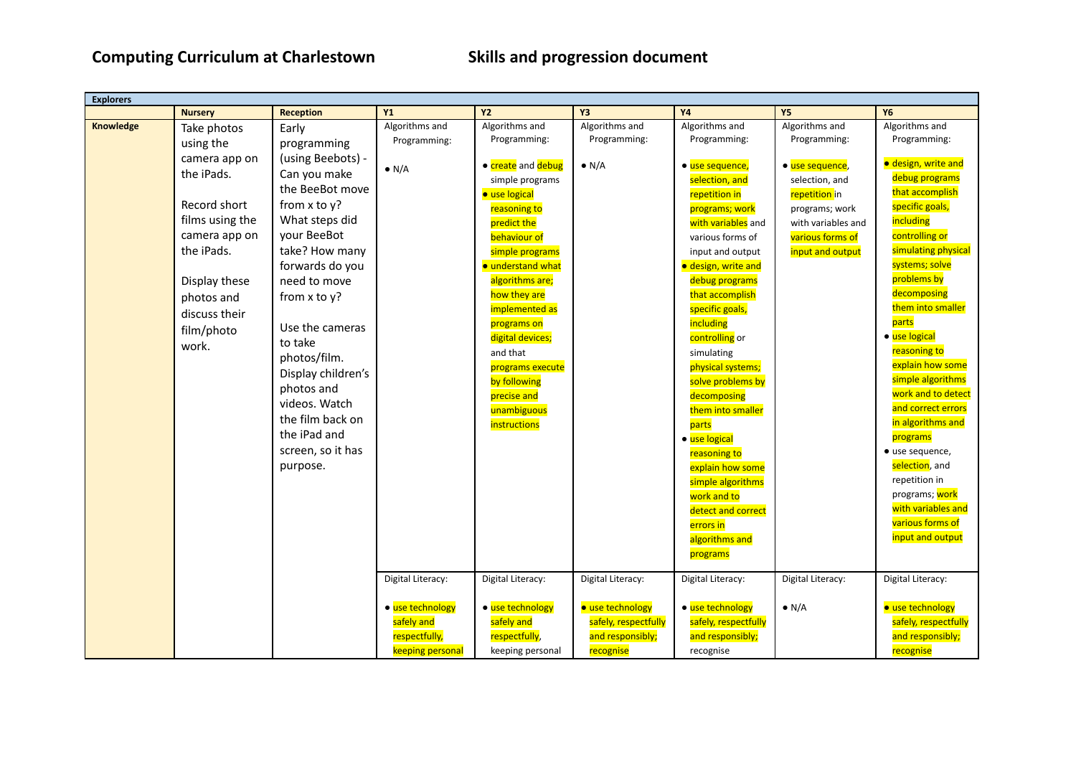| <b>Explorers</b> |                 |                    |                   |                      |                      |                      |                    |                      |
|------------------|-----------------|--------------------|-------------------|----------------------|----------------------|----------------------|--------------------|----------------------|
|                  | <b>Nursery</b>  | <b>Reception</b>   | <b>Y1</b>         | <b>Y2</b>            | Y3                   | <b>Y4</b>            | <b>Y5</b>          | <b>Y6</b>            |
| Knowledge        | Take photos     | Early              | Algorithms and    | Algorithms and       | Algorithms and       | Algorithms and       | Algorithms and     | Algorithms and       |
|                  | using the       | programming        | Programming:      | Programming:         | Programming:         | Programming:         | Programming:       | Programming:         |
|                  | camera app on   | (using Beebots) -  |                   |                      |                      |                      |                    | · design, write and  |
|                  | the iPads.      | Can you make       | $\bullet$ N/A     | • create and debug   | $\bullet$ N/A        | · use sequence,      | · use sequence,    |                      |
|                  |                 | the BeeBot move    |                   | simple programs      |                      | selection, and       | selection, and     | debug programs       |
|                  | Record short    | from $x$ to $y$ ?  |                   | <b>•</b> use logical |                      | repetition in        | repetition in      | that accomplish      |
|                  | films using the | What steps did     |                   | reasoning to         |                      | programs; work       | programs; work     | specific goals,      |
|                  |                 |                    |                   | predict the          |                      | with variables and   | with variables and | including            |
|                  | camera app on   | your BeeBot        |                   | behaviour of         |                      | various forms of     | various forms of   | controlling or       |
|                  | the iPads.      | take? How many     |                   | simple programs      |                      | input and output     | input and output   | simulating physical  |
|                  |                 | forwards do you    |                   | · understand what    |                      | · design, write and  |                    | systems; solve       |
|                  | Display these   | need to move       |                   | algorithms are;      |                      | debug programs       |                    | problems by          |
|                  | photos and      | from $x$ to $y$ ?  |                   | how they are         |                      | that accomplish      |                    | decomposing          |
|                  | discuss their   |                    |                   | implemented as       |                      | specific goals,      |                    | them into smaller    |
|                  | film/photo      | Use the cameras    |                   | programs on          |                      | including            |                    | parts                |
|                  | work.           | to take            |                   | digital devices;     |                      | controlling or       |                    | · use logical        |
|                  |                 | photos/film.       |                   | and that             |                      | simulating           |                    | reasoning to         |
|                  |                 | Display children's |                   | programs execute     |                      | physical systems;    |                    | explain how some     |
|                  |                 | photos and         |                   | by following         |                      | solve problems by    |                    | simple algorithms    |
|                  |                 | videos. Watch      |                   | precise and          |                      | decomposing          |                    | work and to detect   |
|                  |                 | the film back on   |                   | unambiguous          |                      | them into smaller    |                    | and correct errors   |
|                  |                 | the iPad and       |                   | instructions         |                      | parts                |                    | in algorithms and    |
|                  |                 | screen, so it has  |                   |                      |                      | · use logical        |                    | programs             |
|                  |                 |                    |                   |                      |                      | reasoning to         |                    | · use sequence,      |
|                  |                 | purpose.           |                   |                      |                      | explain how some     |                    | selection, and       |
|                  |                 |                    |                   |                      |                      | simple algorithms    |                    | repetition in        |
|                  |                 |                    |                   |                      |                      | work and to          |                    | programs; work       |
|                  |                 |                    |                   |                      |                      | detect and correct   |                    | with variables and   |
|                  |                 |                    |                   |                      |                      | errors in            |                    | various forms of     |
|                  |                 |                    |                   |                      |                      | algorithms and       |                    | input and output     |
|                  |                 |                    |                   |                      |                      | programs             |                    |                      |
|                  |                 |                    | Digital Literacy: | Digital Literacy:    | Digital Literacy:    | Digital Literacy:    | Digital Literacy:  | Digital Literacy:    |
|                  |                 |                    |                   |                      |                      |                      |                    |                      |
|                  |                 |                    | · use technology  | • use technology     | · use technology     | · use technology     | $\bullet$ N/A      | · use technology     |
|                  |                 |                    | safely and        | safely and           | safely, respectfully | safely, respectfully |                    | safely, respectfully |
|                  |                 |                    | respectfully,     | respectfully,        | and responsibly;     | and responsibly;     |                    | and responsibly;     |
|                  |                 |                    | keeping personal  | keeping personal     | recognise            | recognise            |                    | recognise            |
|                  |                 |                    |                   |                      |                      |                      |                    |                      |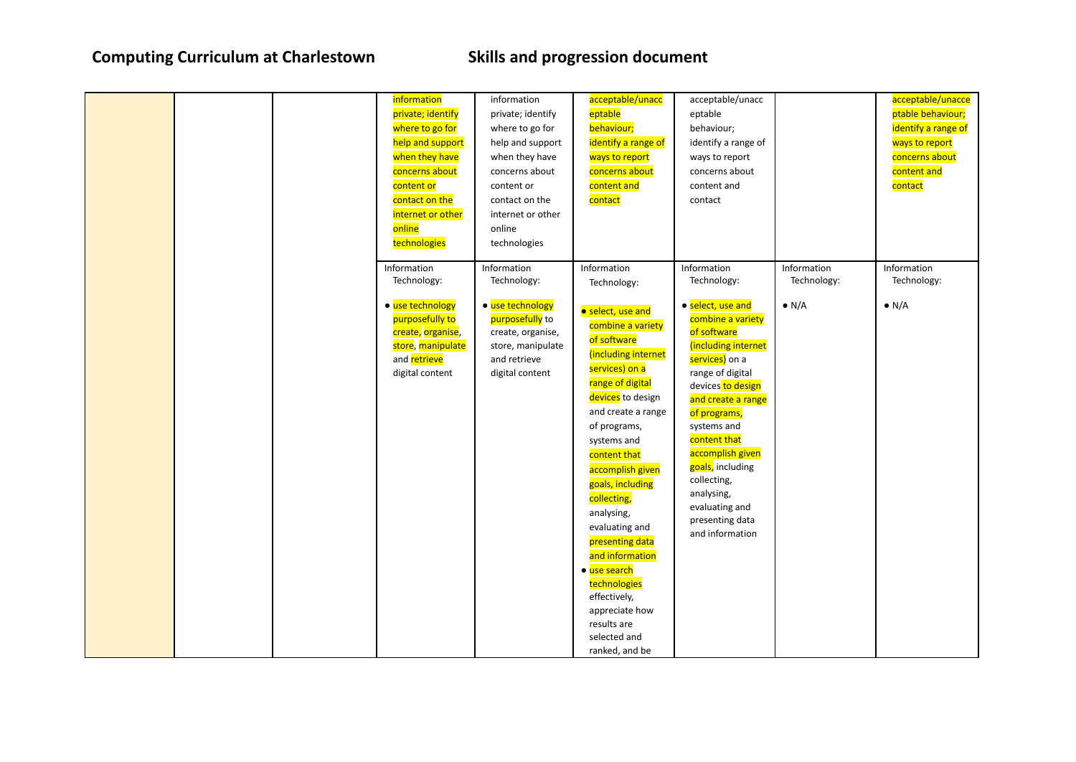|  | information<br>private; identify<br>where to go for<br>help and support<br>when they have<br>concerns about<br>content or<br>contact on the<br>internet or other<br>online<br>technologies | information<br>private; identify<br>where to go for<br>help and support<br>when they have<br>concerns about<br>content or<br>contact on the<br>internet or other<br>online<br>technologies | acceptable/unacc<br>eptable<br>behaviour;<br>identify a range of<br>ways to report<br>concerns about<br>content and<br>contact                                                                                                                                                                                                                                                                                                                                                             | acceptable/unacc<br>eptable<br>behaviour;<br>identify a range of<br>ways to report<br>concerns about<br>content and<br>contact                                                                                                                                                                                                                                          |                                             | acceptable/unacce<br>ptable behaviour;<br>identify a range of<br>ways to report<br>concerns about<br>content and<br>contact |
|--|--------------------------------------------------------------------------------------------------------------------------------------------------------------------------------------------|--------------------------------------------------------------------------------------------------------------------------------------------------------------------------------------------|--------------------------------------------------------------------------------------------------------------------------------------------------------------------------------------------------------------------------------------------------------------------------------------------------------------------------------------------------------------------------------------------------------------------------------------------------------------------------------------------|-------------------------------------------------------------------------------------------------------------------------------------------------------------------------------------------------------------------------------------------------------------------------------------------------------------------------------------------------------------------------|---------------------------------------------|-----------------------------------------------------------------------------------------------------------------------------|
|  | Information<br>Technology:<br>• use technology<br>purposefully to<br>create, organise,<br>store, manipulate<br>and retrieve<br>digital content                                             | Information<br>Technology:<br>• use technology<br>purposefully to<br>create, organise,<br>store, manipulate<br>and retrieve<br>digital content                                             | Information<br>Technology:<br>• select, use and<br>combine a variety<br>of software<br>(including internet<br>services) on a<br>range of digital<br>devices to design<br>and create a range<br>of programs,<br>systems and<br>content that<br>accomplish given<br>goals, including<br>collecting,<br>analysing,<br>evaluating and<br>presenting data<br>and information<br>· use search<br>technologies<br>effectively,<br>appreciate how<br>results are<br>selected and<br>ranked, and be | Information<br>Technology:<br>· select, use and<br>combine a variety<br>of software<br>(including internet<br>services) on a<br>range of digital<br>devices to design<br>and create a range<br>of programs,<br>systems and<br>content that<br>accomplish given<br>goals, including<br>collecting,<br>analysing,<br>evaluating and<br>presenting data<br>and information | Information<br>Technology:<br>$\bullet$ N/A | Information<br>Technology:<br>$\bullet$ N/A                                                                                 |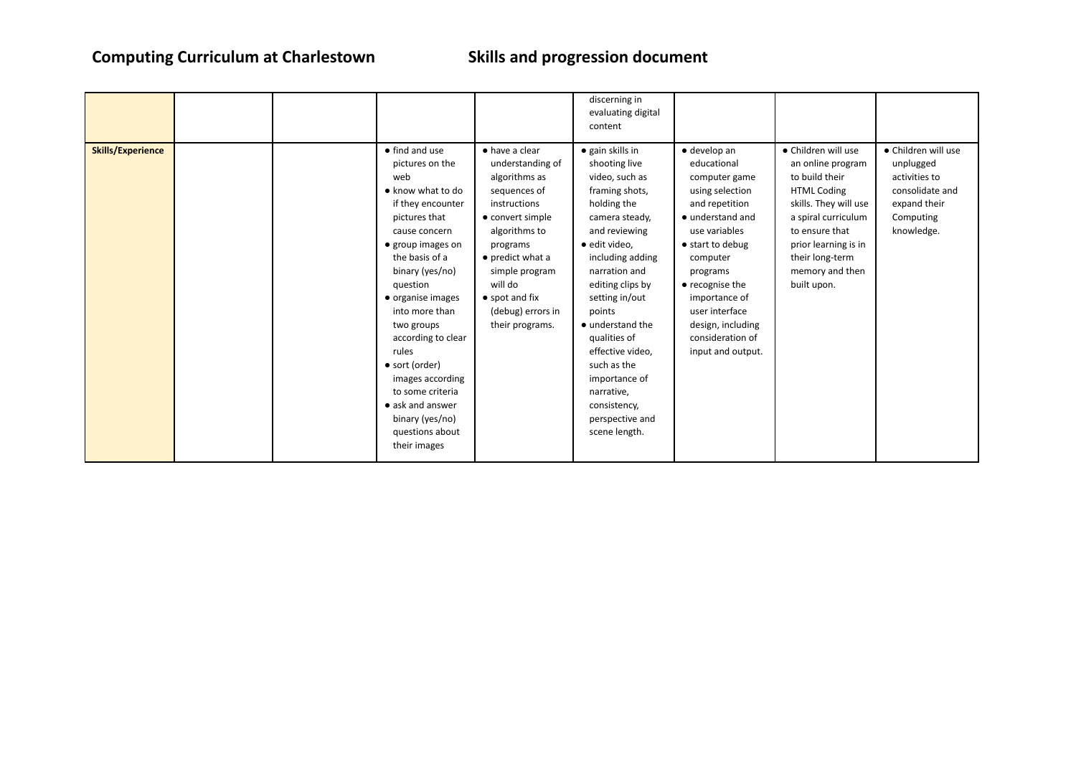| content                                                                                                                                                                                                                                                                                                                                                                                                                                                                                                                                                                                                                                                                                                                                                                                                                                                                                                                                                                                                                                                                                                                                                                                                                                                                                                                                                                                                                                |                                                                                                                                                                                                                                 |                                                                                                                 |
|----------------------------------------------------------------------------------------------------------------------------------------------------------------------------------------------------------------------------------------------------------------------------------------------------------------------------------------------------------------------------------------------------------------------------------------------------------------------------------------------------------------------------------------------------------------------------------------------------------------------------------------------------------------------------------------------------------------------------------------------------------------------------------------------------------------------------------------------------------------------------------------------------------------------------------------------------------------------------------------------------------------------------------------------------------------------------------------------------------------------------------------------------------------------------------------------------------------------------------------------------------------------------------------------------------------------------------------------------------------------------------------------------------------------------------------|---------------------------------------------------------------------------------------------------------------------------------------------------------------------------------------------------------------------------------|-----------------------------------------------------------------------------------------------------------------|
|                                                                                                                                                                                                                                                                                                                                                                                                                                                                                                                                                                                                                                                                                                                                                                                                                                                                                                                                                                                                                                                                                                                                                                                                                                                                                                                                                                                                                                        |                                                                                                                                                                                                                                 |                                                                                                                 |
| <b>Skills/Experience</b><br>• find and use<br>$\bullet$ have a clear<br>• gain skills in<br>$\bullet$ develop an<br>shooting live<br>pictures on the<br>understanding of<br>educational<br>web<br>algorithms as<br>video, such as<br>computer game<br>• know what to do<br>framing shots,<br>sequences of<br>using selection<br>instructions<br>holding the<br>if they encounter<br>and repetition<br>$\bullet$ understand and<br>pictures that<br>• convert simple<br>camera steady,<br>and reviewing<br>use variables<br>algorithms to<br>cause concern<br>· edit video,<br>• group images on<br>• start to debug<br>programs<br>the basis of a<br>$\bullet$ predict what a<br>including adding<br>computer<br>binary (yes/no)<br>narration and<br>simple program<br>programs<br>will do<br>editing clips by<br>question<br>• recognise the<br>• organise images<br>$\bullet$ spot and fix<br>setting in/out<br>importance of<br>into more than<br>(debug) errors in<br>points<br>user interface<br>design, including<br>two groups<br>their programs.<br>$\bullet$ understand the<br>qualities of<br>according to clear<br>consideration of<br>rules<br>effective video.<br>input and output.<br>• sort (order)<br>such as the<br>importance of<br>images according<br>to some criteria<br>narrative,<br>• ask and answer<br>consistency,<br>binary (yes/no)<br>perspective and<br>questions about<br>scene length.<br>their images | · Children will use<br>an online program<br>to build their<br><b>HTML Coding</b><br>skills. They will use<br>a spiral curriculum<br>to ensure that<br>prior learning is in<br>their long-term<br>memory and then<br>built upon. | · Children will use<br>unplugged<br>activities to<br>consolidate and<br>expand their<br>Computing<br>knowledge. |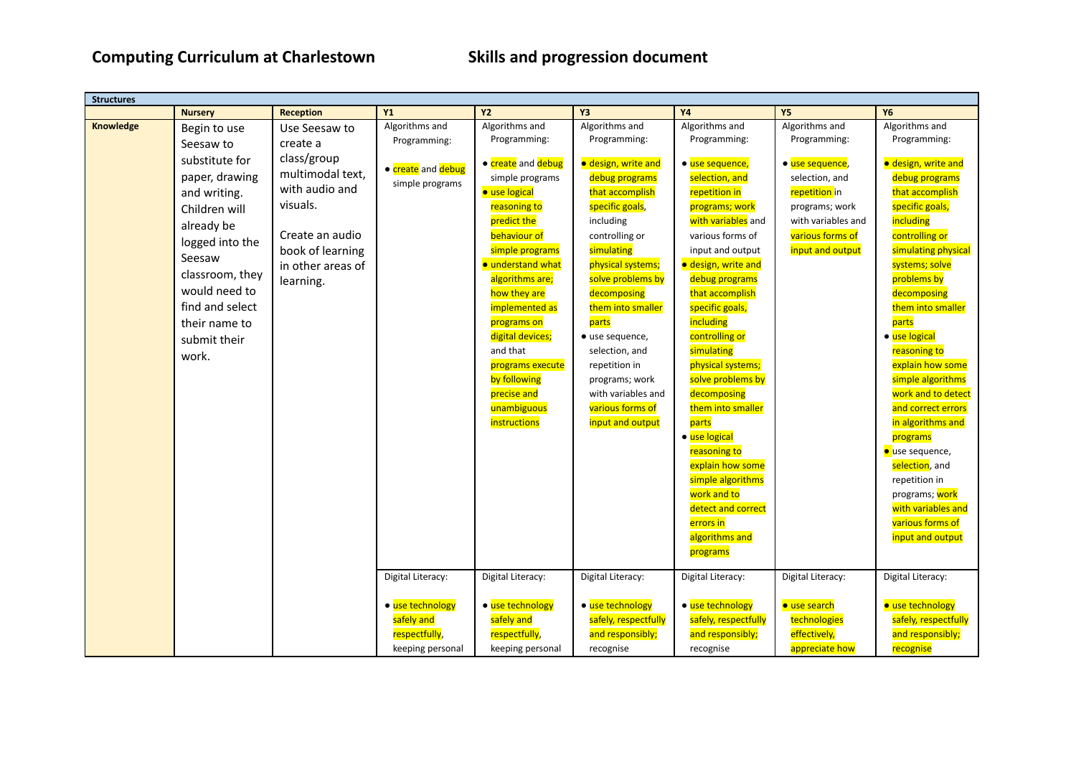| <b>Structures</b> |                 |                   |                    |                    |                      |                      |                     |                        |
|-------------------|-----------------|-------------------|--------------------|--------------------|----------------------|----------------------|---------------------|------------------------|
|                   | <b>Nursery</b>  | <b>Reception</b>  | <b>Y1</b>          | <b>Y2</b>          | Y3                   | <b>Y4</b>            | <b>Y5</b>           | <b>Y6</b>              |
| Knowledge         | Begin to use    | Use Seesaw to     | Algorithms and     | Algorithms and     | Algorithms and       | Algorithms and       | Algorithms and      | Algorithms and         |
|                   | Seesaw to       | create a          | Programming:       | Programming:       | Programming:         | Programming:         | Programming:        | Programming:           |
|                   | substitute for  | class/group       |                    |                    |                      |                      |                     |                        |
|                   | paper, drawing  | multimodal text,  | • create and debug | • create and debug | · design, write and  | · use sequence,      | · use sequence,     | · design, write and    |
|                   |                 | with audio and    | simple programs    | simple programs    | debug programs       | selection, and       | selection, and      | debug programs         |
|                   | and writing.    |                   |                    | · use logical      | that accomplish      | repetition in        | repetition in       | that accomplish        |
|                   | Children will   | visuals.          |                    | reasoning to       | specific goals,      | programs; work       | programs; work      | specific goals,        |
|                   | already be      |                   |                    | predict the        | including            | with variables and   | with variables and  | including              |
|                   | logged into the | Create an audio   |                    | behaviour of       | controlling or       | various forms of     | various forms of    | controlling or         |
|                   | Seesaw          | book of learning  |                    | simple programs    | simulating           | input and output     | input and output    | simulating physical    |
|                   | classroom, they | in other areas of |                    | · understand what  | physical systems;    | · design, write and  |                     | systems; solve         |
|                   |                 | learning.         |                    | algorithms are;    | solve problems by    | debug programs       |                     | problems by            |
|                   | would need to   |                   |                    | how they are       | decomposing          | that accomplish      |                     | decomposing            |
|                   | find and select |                   |                    | implemented as     | them into smaller    | specific goals,      |                     | them into smaller      |
|                   | their name to   |                   |                    | programs on        | parts                | including            |                     | parts                  |
|                   | submit their    |                   |                    | digital devices;   | · use sequence,      | controlling or       |                     | · use logical          |
|                   | work.           |                   |                    | and that           | selection, and       | simulating           |                     | reasoning to           |
|                   |                 |                   |                    | programs execute   | repetition in        | physical systems;    |                     | explain how some       |
|                   |                 |                   |                    | by following       | programs; work       | solve problems by    |                     | simple algorithms      |
|                   |                 |                   |                    | precise and        | with variables and   | decomposing          |                     | work and to detect     |
|                   |                 |                   |                    | unambiguous        | various forms of     | them into smaller    |                     | and correct errors     |
|                   |                 |                   |                    | instructions       | input and output     | parts                |                     | in algorithms and      |
|                   |                 |                   |                    |                    |                      | · use logical        |                     | programs               |
|                   |                 |                   |                    |                    |                      | reasoning to         |                     | <b>·</b> use sequence, |
|                   |                 |                   |                    |                    |                      | explain how some     |                     | selection, and         |
|                   |                 |                   |                    |                    |                      | simple algorithms    |                     | repetition in          |
|                   |                 |                   |                    |                    |                      | work and to          |                     | programs; work         |
|                   |                 |                   |                    |                    |                      | detect and correct   |                     | with variables and     |
|                   |                 |                   |                    |                    |                      | errors in            |                     | various forms of       |
|                   |                 |                   |                    |                    |                      | algorithms and       |                     | input and output       |
|                   |                 |                   |                    |                    |                      | programs             |                     |                        |
|                   |                 |                   |                    |                    |                      |                      |                     |                        |
|                   |                 |                   | Digital Literacy:  | Digital Literacy:  | Digital Literacy:    | Digital Literacy:    | Digital Literacy:   | Digital Literacy:      |
|                   |                 |                   |                    |                    |                      |                      |                     |                        |
|                   |                 |                   | · use technology   | • use technology   | • use technology     | · use technology     | <b>•</b> use search | · use technology       |
|                   |                 |                   | safely and         | safely and         | safely, respectfully | safely, respectfully | technologies        | safely, respectfully   |
|                   |                 |                   | respectfully,      | respectfully,      | and responsibly;     | and responsibly;     | effectively,        | and responsibly;       |
|                   |                 |                   | keeping personal   | keeping personal   | recognise            | recognise            | appreciate how      | recognise              |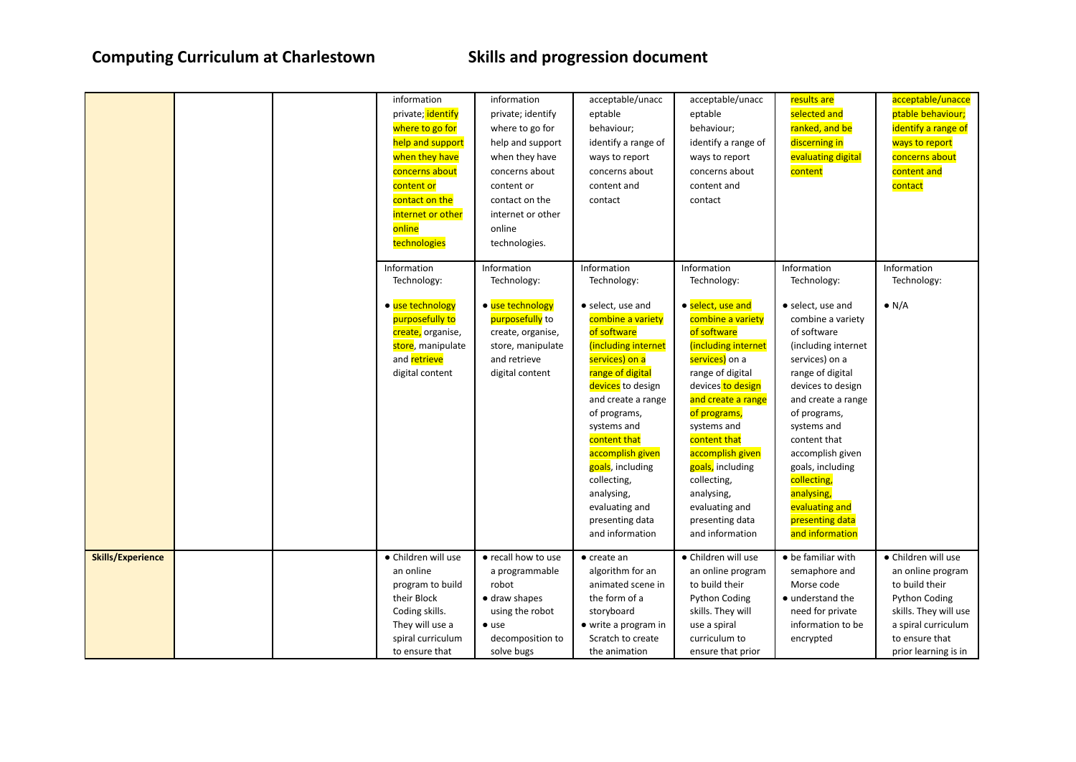|                          |  | information<br>private; identify<br>where to go for<br>help and support<br>when they have<br>concerns about<br>content or<br>contact on the<br>internet or other<br>online<br>technologies<br>Information | information<br>private; identify<br>where to go for<br>help and support<br>when they have<br>concerns about<br>content or<br>contact on the<br>internet or other<br>online<br>technologies.<br>Information | acceptable/unacc<br>eptable<br>behaviour;<br>identify a range of<br>ways to report<br>concerns about<br>content and<br>contact<br>Information                                                                                                                                                                                                            | acceptable/unacc<br>eptable<br>behaviour;<br>identify a range of<br>ways to report<br>concerns about<br>content and<br>contact<br>Information                                                                                                                                                                                                            | results are<br>selected and<br>ranked, and be<br>discerning in<br>evaluating digital<br>content<br>Information                                                                                                                                                                                                                                           | acceptable/unacce<br>ptable behaviour;<br>identify a range of<br>ways to report<br>concerns about<br>content and<br>contact<br>Information                            |
|--------------------------|--|-----------------------------------------------------------------------------------------------------------------------------------------------------------------------------------------------------------|------------------------------------------------------------------------------------------------------------------------------------------------------------------------------------------------------------|----------------------------------------------------------------------------------------------------------------------------------------------------------------------------------------------------------------------------------------------------------------------------------------------------------------------------------------------------------|----------------------------------------------------------------------------------------------------------------------------------------------------------------------------------------------------------------------------------------------------------------------------------------------------------------------------------------------------------|----------------------------------------------------------------------------------------------------------------------------------------------------------------------------------------------------------------------------------------------------------------------------------------------------------------------------------------------------------|-----------------------------------------------------------------------------------------------------------------------------------------------------------------------|
|                          |  | Technology:<br>• use technology<br>purposefully to<br>create, organise,<br>store, manipulate<br>and <b>retrieve</b><br>digital content                                                                    | Technology:<br>• use technology<br>purposefully to<br>create, organise,<br>store, manipulate<br>and retrieve<br>digital content                                                                            | Technology:<br>• select, use and<br>combine a variety<br>of software<br>(including internet<br>services) on a<br>range of digital<br>devices to design<br>and create a range<br>of programs,<br>systems and<br>content that<br>accomplish given<br>goals, including<br>collecting,<br>analysing,<br>evaluating and<br>presenting data<br>and information | Technology:<br>· select, use and<br>combine a variety<br>of software<br>(including internet<br>services) on a<br>range of digital<br>devices to design<br>and create a range<br>of programs,<br>systems and<br>content that<br>accomplish given<br>goals, including<br>collecting,<br>analysing,<br>evaluating and<br>presenting data<br>and information | Technology:<br>• select, use and<br>combine a variety<br>of software<br>(including internet<br>services) on a<br>range of digital<br>devices to design<br>and create a range<br>of programs,<br>systems and<br>content that<br>accomplish given<br>goals, including<br>collecting,<br>analysing,<br>evaluating and<br>presenting data<br>and information | Technology:<br>$\bullet$ N/A                                                                                                                                          |
| <b>Skills/Experience</b> |  | • Children will use<br>an online<br>program to build<br>their Block<br>Coding skills.<br>They will use a<br>spiral curriculum<br>to ensure that                                                           | • recall how to use<br>a programmable<br>robot<br>• draw shapes<br>using the robot<br>$\bullet$ use<br>decomposition to<br>solve bugs                                                                      | $\bullet$ create an<br>algorithm for an<br>animated scene in<br>the form of a<br>storyboard<br>• write a program in<br>Scratch to create<br>the animation                                                                                                                                                                                                | · Children will use<br>an online program<br>to build their<br><b>Python Coding</b><br>skills. They will<br>use a spiral<br>curriculum to<br>ensure that prior                                                                                                                                                                                            | • be familiar with<br>semaphore and<br>Morse code<br>• understand the<br>need for private<br>information to be<br>encrypted                                                                                                                                                                                                                              | • Children will use<br>an online program<br>to build their<br>Python Coding<br>skills. They will use<br>a spiral curriculum<br>to ensure that<br>prior learning is in |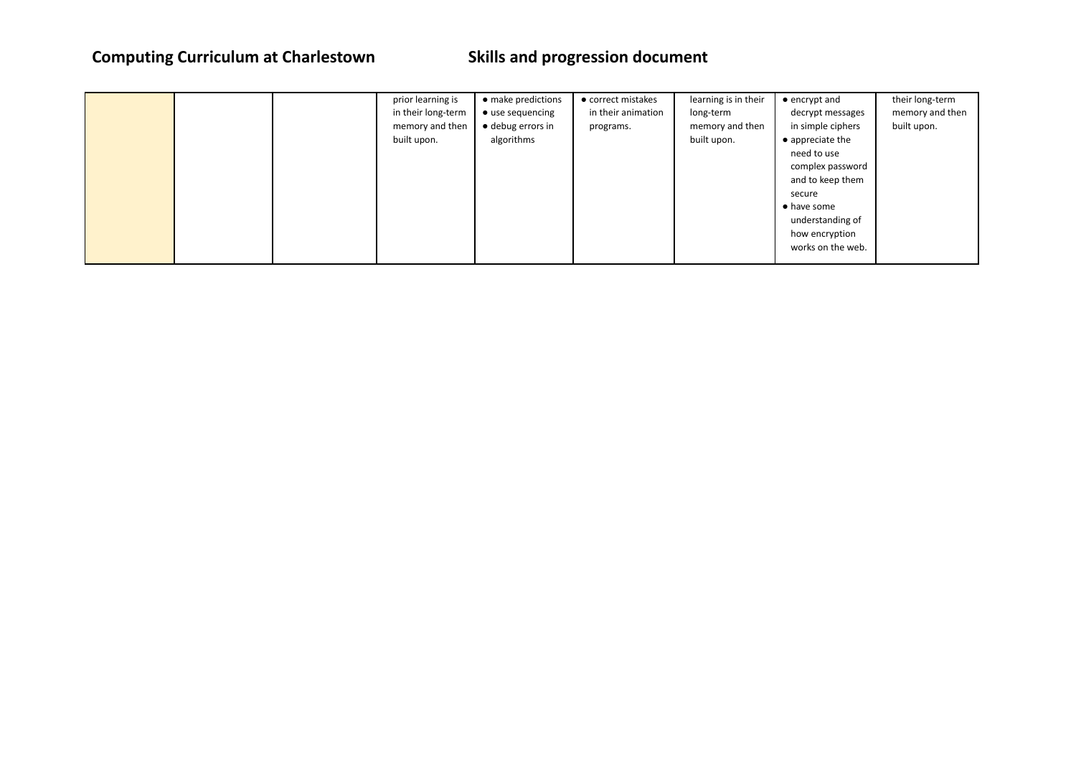|  | prior learning is  | • make predictions | • correct mistakes | learning is in their | $\bullet$ encrypt and    | their long-term |
|--|--------------------|--------------------|--------------------|----------------------|--------------------------|-----------------|
|  | in their long-term | • use sequencing   | in their animation | long-term            | decrypt messages         | memory and then |
|  | memory and then    | • debug errors in  | programs.          | memory and then      | in simple ciphers        | built upon.     |
|  | built upon.        | algorithms         |                    | built upon.          | $\bullet$ appreciate the |                 |
|  |                    |                    |                    |                      | need to use              |                 |
|  |                    |                    |                    |                      | complex password         |                 |
|  |                    |                    |                    |                      | and to keep them         |                 |
|  |                    |                    |                    |                      | secure                   |                 |
|  |                    |                    |                    |                      | • have some              |                 |
|  |                    |                    |                    |                      | understanding of         |                 |
|  |                    |                    |                    |                      | how encryption           |                 |
|  |                    |                    |                    |                      | works on the web.        |                 |
|  |                    |                    |                    |                      |                          |                 |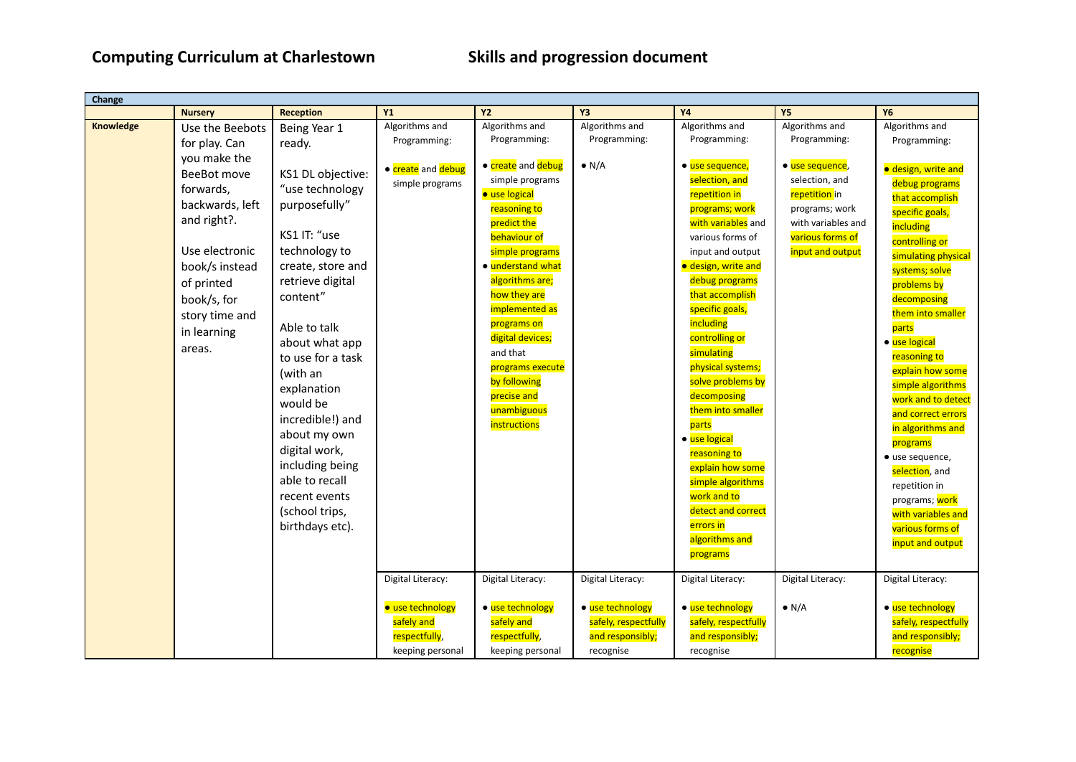| Change    |                 |                   |                    |                    |                      |                      |                    |                      |
|-----------|-----------------|-------------------|--------------------|--------------------|----------------------|----------------------|--------------------|----------------------|
|           | <b>Nursery</b>  | <b>Reception</b>  | <b>Y1</b>          | <b>Y2</b>          | Y3                   | <b>Y4</b>            | <b>Y5</b>          | <b>Y6</b>            |
| Knowledge | Use the Beebots | Being Year 1      | Algorithms and     | Algorithms and     | Algorithms and       | Algorithms and       | Algorithms and     | Algorithms and       |
|           | for play. Can   | ready.            | Programming:       | Programming:       | Programming:         | Programming:         | Programming:       | Programming:         |
|           | you make the    |                   |                    |                    |                      |                      |                    |                      |
|           | BeeBot move     | KS1 DL objective: | • create and debug | • create and debug | $\bullet$ N/A        | · use sequence,      | · use sequence,    | · design, write and  |
|           | forwards,       | "use technology   | simple programs    | simple programs    |                      | selection, and       | selection, and     | debug programs       |
|           | backwards, left | purposefully"     |                    | · use logical      |                      | repetition in        | repetition in      | that accomplish      |
|           |                 |                   |                    | reasoning to       |                      | programs; work       | programs; work     | specific goals,      |
|           | and right?.     |                   |                    | predict the        |                      | with variables and   | with variables and | including            |
|           |                 | KS1 IT: "use      |                    | behaviour of       |                      | various forms of     | various forms of   | controlling or       |
|           | Use electronic  | technology to     |                    | simple programs    |                      | input and output     | input and output   | simulating physical  |
|           | book/s instead  | create, store and |                    | • understand what  |                      | · design, write and  |                    | systems; solve       |
|           | of printed      | retrieve digital  |                    | algorithms are;    |                      | debug programs       |                    | problems by          |
|           | book/s, for     | content"          |                    | how they are       |                      | that accomplish      |                    | decomposing          |
|           | story time and  |                   |                    | implemented as     |                      | specific goals,      |                    | them into smaller    |
|           | in learning     | Able to talk      |                    | programs on        |                      | including            |                    | parts                |
|           |                 | about what app    |                    | digital devices;   |                      | controlling or       |                    | · use logical        |
|           | areas.          | to use for a task |                    | and that           |                      | simulating           |                    | reasoning to         |
|           |                 | (with an          |                    | programs execute   |                      | physical systems;    |                    | explain how some     |
|           |                 | explanation       |                    | by following       |                      | solve problems by    |                    | simple algorithms    |
|           |                 | would be          |                    | precise and        |                      | decomposing          |                    | work and to detect   |
|           |                 | incredible!) and  |                    | unambiguous        |                      | them into smaller    |                    | and correct errors   |
|           |                 |                   |                    | instructions       |                      | parts                |                    | in algorithms and    |
|           |                 | about my own      |                    |                    |                      | · use logical        |                    | programs             |
|           |                 | digital work,     |                    |                    |                      | reasoning to         |                    | · use sequence,      |
|           |                 | including being   |                    |                    |                      | explain how some     |                    | selection, and       |
|           |                 | able to recall    |                    |                    |                      | simple algorithms    |                    | repetition in        |
|           |                 | recent events     |                    |                    |                      | work and to          |                    | programs; work       |
|           |                 | (school trips,    |                    |                    |                      | detect and correct   |                    | with variables and   |
|           |                 | birthdays etc).   |                    |                    |                      | errors in            |                    | various forms of     |
|           |                 |                   |                    |                    |                      | algorithms and       |                    | input and output     |
|           |                 |                   |                    |                    |                      | programs             |                    |                      |
|           |                 |                   |                    |                    |                      |                      |                    |                      |
|           |                 |                   | Digital Literacy:  | Digital Literacy:  | Digital Literacy:    | Digital Literacy:    | Digital Literacy:  | Digital Literacy:    |
|           |                 |                   | · use technology   | · use technology   | · use technology     | · use technology     | $\bullet$ N/A      | · use technology     |
|           |                 |                   | safely and         | safely and         | safely, respectfully | safely, respectfully |                    | safely, respectfully |
|           |                 |                   | respectfully,      | respectfully,      | and responsibly;     | and responsibly;     |                    | and responsibly;     |
|           |                 |                   | keeping personal   | keeping personal   | recognise            | recognise            |                    | recognise            |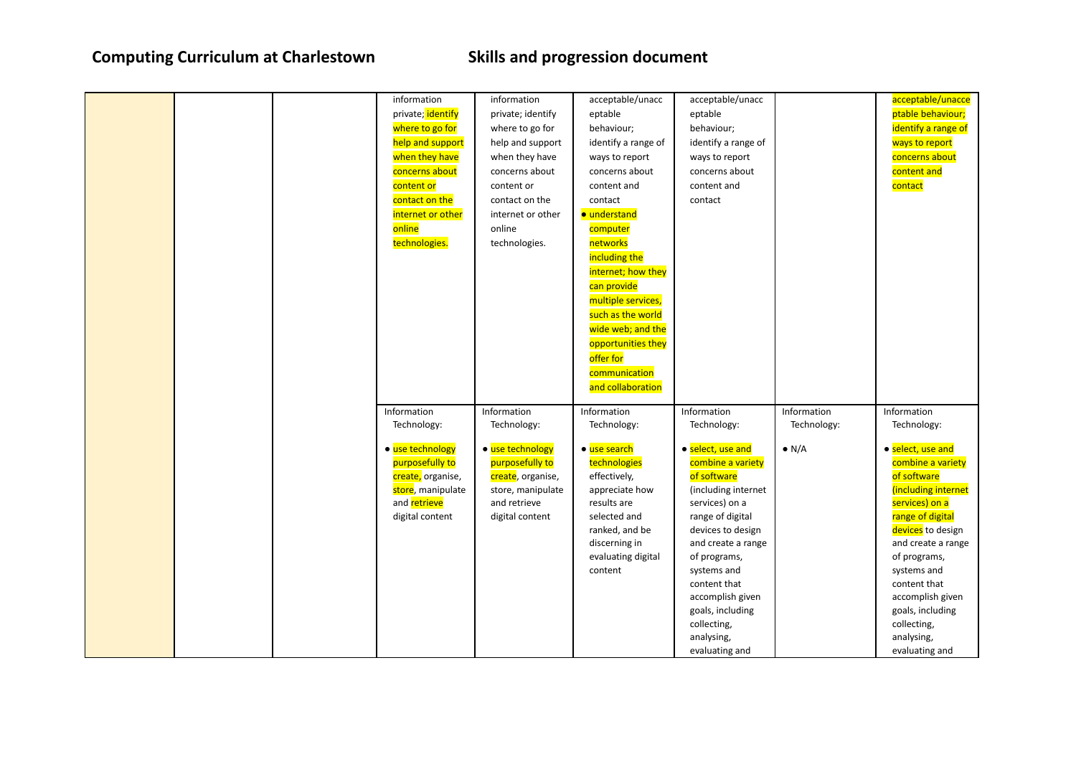|  | information<br>private; identify<br>where to go for<br>help and support<br>when they have<br>concerns about<br>content or<br>contact on the<br>internet or other<br>online<br>technologies. | information<br>private; identify<br>where to go for<br>help and support<br>when they have<br>concerns about<br>content or<br>contact on the<br>internet or other<br>online<br>technologies. | acceptable/unacc<br>eptable<br>behaviour;<br>identify a range of<br>ways to report<br>concerns about<br>content and<br>contact<br>· understand<br>computer<br>networks<br>including the<br>internet; how they<br>can provide<br>multiple services,<br>such as the world<br>wide web; and the<br>opportunities they<br>offer for | acceptable/unacc<br>eptable<br>behaviour;<br>identify a range of<br>ways to report<br>concerns about<br>content and<br>contact                                                                                                                                                                                                    |                                             | acceptable/unacce<br>ptable behaviour;<br>identify a range of<br>ways to report<br>concerns about<br>content and<br>contact                                                                                                                                                                                                       |
|--|---------------------------------------------------------------------------------------------------------------------------------------------------------------------------------------------|---------------------------------------------------------------------------------------------------------------------------------------------------------------------------------------------|---------------------------------------------------------------------------------------------------------------------------------------------------------------------------------------------------------------------------------------------------------------------------------------------------------------------------------|-----------------------------------------------------------------------------------------------------------------------------------------------------------------------------------------------------------------------------------------------------------------------------------------------------------------------------------|---------------------------------------------|-----------------------------------------------------------------------------------------------------------------------------------------------------------------------------------------------------------------------------------------------------------------------------------------------------------------------------------|
|  | Information<br>Technology:<br>• use technology<br>purposefully to<br>create, organise,<br>store, manipulate<br>and retrieve<br>digital content                                              | Information<br>Technology:<br>· use technology<br>purposefully to<br>create, organise,<br>store, manipulate<br>and retrieve<br>digital content                                              | communication<br>and collaboration<br>Information<br>Technology:<br>· use search<br>technologies<br>effectively,<br>appreciate how<br>results are<br>selected and<br>ranked, and be<br>discerning in<br>evaluating digital<br>content                                                                                           | Information<br>Technology:<br>· select, use and<br>combine a variety<br>of software<br>(including internet<br>services) on a<br>range of digital<br>devices to design<br>and create a range<br>of programs,<br>systems and<br>content that<br>accomplish given<br>goals, including<br>collecting,<br>analysing,<br>evaluating and | Information<br>Technology:<br>$\bullet$ N/A | Information<br>Technology:<br>• select, use and<br>combine a variety<br>of software<br>(including internet<br>services) on a<br>range of digital<br>devices to design<br>and create a range<br>of programs,<br>systems and<br>content that<br>accomplish given<br>goals, including<br>collecting,<br>analysing,<br>evaluating and |